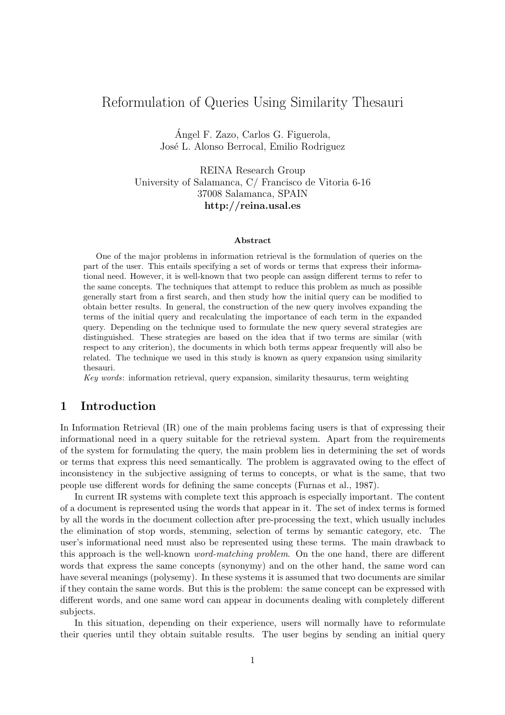# Reformulation of Queries Using Similarity Thesauri

Angel F. Zazo, Carlos G. Figuerola, ´ José L. Alonso Berrocal, Emilio Rodriguez

REINA Research Group University of Salamanca, C/ Francisco de Vitoria 6-16 37008 Salamanca, SPAIN http://reina.usal.es

#### Abstract

One of the major problems in information retrieval is the formulation of queries on the part of the user. This entails specifying a set of words or terms that express their informational need. However, it is well-known that two people can assign different terms to refer to the same concepts. The techniques that attempt to reduce this problem as much as possible generally start from a first search, and then study how the initial query can be modified to obtain better results. In general, the construction of the new query involves expanding the terms of the initial query and recalculating the importance of each term in the expanded query. Depending on the technique used to formulate the new query several strategies are distinguished. These strategies are based on the idea that if two terms are similar (with respect to any criterion), the documents in which both terms appear frequently will also be related. The technique we used in this study is known as query expansion using similarity thesauri.

Key words: information retrieval, query expansion, similarity thesaurus, term weighting

## 1 Introduction

In Information Retrieval (IR) one of the main problems facing users is that of expressing their informational need in a query suitable for the retrieval system. Apart from the requirements of the system for formulating the query, the main problem lies in determining the set of words or terms that express this need semantically. The problem is aggravated owing to the effect of inconsistency in the subjective assigning of terms to concepts, or what is the same, that two people use different words for defining the same concepts (Furnas et al., 1987).

In current IR systems with complete text this approach is especially important. The content of a document is represented using the words that appear in it. The set of index terms is formed by all the words in the document collection after pre-processing the text, which usually includes the elimination of stop words, stemming, selection of terms by semantic category, etc. The user's informational need must also be represented using these terms. The main drawback to this approach is the well-known word-matching problem. On the one hand, there are different words that express the same concepts (synonymy) and on the other hand, the same word can have several meanings (polysemy). In these systems it is assumed that two documents are similar if they contain the same words. But this is the problem: the same concept can be expressed with different words, and one same word can appear in documents dealing with completely different subjects.

In this situation, depending on their experience, users will normally have to reformulate their queries until they obtain suitable results. The user begins by sending an initial query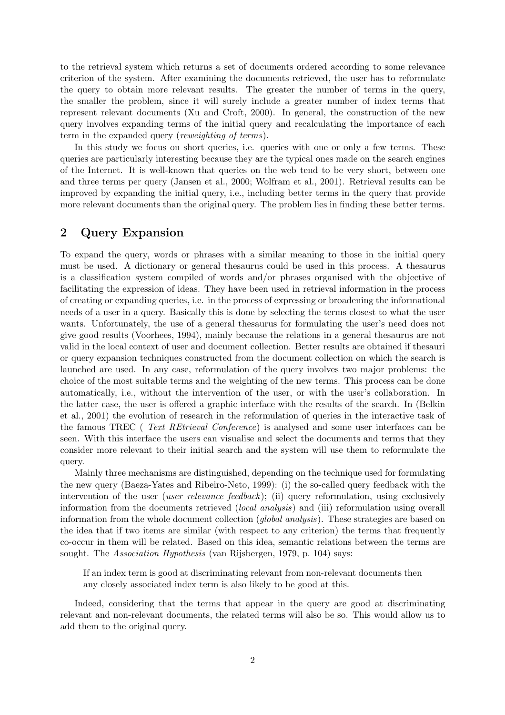to the retrieval system which returns a set of documents ordered according to some relevance criterion of the system. After examining the documents retrieved, the user has to reformulate the query to obtain more relevant results. The greater the number of terms in the query, the smaller the problem, since it will surely include a greater number of index terms that represent relevant documents (Xu and Croft, 2000). In general, the construction of the new query involves expanding terms of the initial query and recalculating the importance of each term in the expanded query (reweighting of terms).

In this study we focus on short queries, i.e. queries with one or only a few terms. These queries are particularly interesting because they are the typical ones made on the search engines of the Internet. It is well-known that queries on the web tend to be very short, between one and three terms per query (Jansen et al., 2000; Wolfram et al., 2001). Retrieval results can be improved by expanding the initial query, i.e., including better terms in the query that provide more relevant documents than the original query. The problem lies in finding these better terms.

### 2 Query Expansion

To expand the query, words or phrases with a similar meaning to those in the initial query must be used. A dictionary or general thesaurus could be used in this process. A thesaurus is a classification system compiled of words and/or phrases organised with the objective of facilitating the expression of ideas. They have been used in retrieval information in the process of creating or expanding queries, i.e. in the process of expressing or broadening the informational needs of a user in a query. Basically this is done by selecting the terms closest to what the user wants. Unfortunately, the use of a general thesaurus for formulating the user's need does not give good results (Voorhees, 1994), mainly because the relations in a general thesaurus are not valid in the local context of user and document collection. Better results are obtained if thesauri or query expansion techniques constructed from the document collection on which the search is launched are used. In any case, reformulation of the query involves two major problems: the choice of the most suitable terms and the weighting of the new terms. This process can be done automatically, i.e., without the intervention of the user, or with the user's collaboration. In the latter case, the user is offered a graphic interface with the results of the search. In (Belkin et al., 2001) the evolution of research in the reformulation of queries in the interactive task of the famous TREC ( Text REtrieval Conference) is analysed and some user interfaces can be seen. With this interface the users can visualise and select the documents and terms that they consider more relevant to their initial search and the system will use them to reformulate the query.

Mainly three mechanisms are distinguished, depending on the technique used for formulating the new query (Baeza-Yates and Ribeiro-Neto, 1999): (i) the so-called query feedback with the intervention of the user *(user relevance feedback)*; (ii) query reformulation, using exclusively information from the documents retrieved *(local analysis)* and *(iii)* reformulation using overall information from the whole document collection *(global analysis)*. These strategies are based on the idea that if two items are similar (with respect to any criterion) the terms that frequently co-occur in them will be related. Based on this idea, semantic relations between the terms are sought. The Association Hypothesis (van Rijsbergen, 1979, p. 104) says:

If an index term is good at discriminating relevant from non-relevant documents then any closely associated index term is also likely to be good at this.

Indeed, considering that the terms that appear in the query are good at discriminating relevant and non-relevant documents, the related terms will also be so. This would allow us to add them to the original query.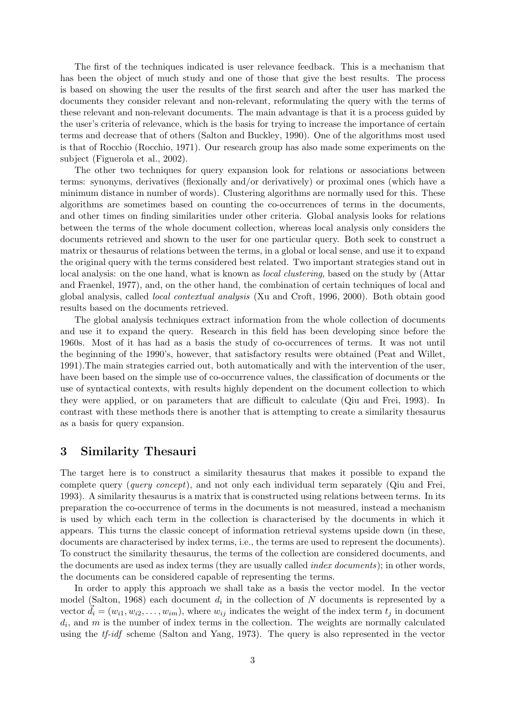The first of the techniques indicated is user relevance feedback. This is a mechanism that has been the object of much study and one of those that give the best results. The process is based on showing the user the results of the first search and after the user has marked the documents they consider relevant and non-relevant, reformulating the query with the terms of these relevant and non-relevant documents. The main advantage is that it is a process guided by the user's criteria of relevance, which is the basis for trying to increase the importance of certain terms and decrease that of others (Salton and Buckley, 1990). One of the algorithms most used is that of Rocchio (Rocchio, 1971). Our research group has also made some experiments on the subject (Figuerola et al., 2002).

The other two techniques for query expansion look for relations or associations between terms: synonyms, derivatives (flexionally and/or derivatively) or proximal ones (which have a minimum distance in number of words). Clustering algorithms are normally used for this. These algorithms are sometimes based on counting the co-occurrences of terms in the documents, and other times on finding similarities under other criteria. Global analysis looks for relations between the terms of the whole document collection, whereas local analysis only considers the documents retrieved and shown to the user for one particular query. Both seek to construct a matrix or thesaurus of relations between the terms, in a global or local sense, and use it to expand the original query with the terms considered best related. Two important strategies stand out in local analysis: on the one hand, what is known as *local clustering*, based on the study by (Attar and Fraenkel, 1977), and, on the other hand, the combination of certain techniques of local and global analysis, called local contextual analysis (Xu and Croft, 1996, 2000). Both obtain good results based on the documents retrieved.

The global analysis techniques extract information from the whole collection of documents and use it to expand the query. Research in this field has been developing since before the 1960s. Most of it has had as a basis the study of co-occurrences of terms. It was not until the beginning of the 1990's, however, that satisfactory results were obtained (Peat and Willet, 1991).The main strategies carried out, both automatically and with the intervention of the user, have been based on the simple use of co-occurrence values, the classification of documents or the use of syntactical contexts, with results highly dependent on the document collection to which they were applied, or on parameters that are difficult to calculate (Qiu and Frei, 1993). In contrast with these methods there is another that is attempting to create a similarity thesaurus as a basis for query expansion.

### 3 Similarity Thesauri

The target here is to construct a similarity thesaurus that makes it possible to expand the complete query (query concept), and not only each individual term separately (Qiu and Frei, 1993). A similarity thesaurus is a matrix that is constructed using relations between terms. In its preparation the co-occurrence of terms in the documents is not measured, instead a mechanism is used by which each term in the collection is characterised by the documents in which it appears. This turns the classic concept of information retrieval systems upside down (in these, documents are characterised by index terms, i.e., the terms are used to represent the documents). To construct the similarity thesaurus, the terms of the collection are considered documents, and the documents are used as index terms (they are usually called *index documents*); in other words, the documents can be considered capable of representing the terms.

In order to apply this approach we shall take as a basis the vector model. In the vector model (Salton, 1968) each document  $d_i$  in the collection of N documents is represented by a vector  $\tilde{d}_i = (w_{i1}, w_{i2}, \dots, w_{im})$ , where  $w_{ij}$  indicates the weight of the index term  $t_j$  in document  $d_i$ , and  $m$  is the number of index terms in the collection. The weights are normally calculated using the tf-idf scheme (Salton and Yang, 1973). The query is also represented in the vector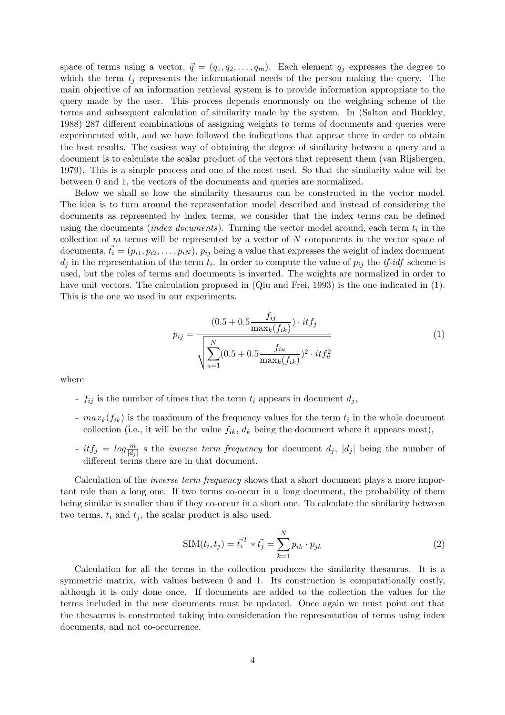space of terms using a vector,  $\vec{q} = (q_1, q_2, \ldots, q_m)$ . Each element  $q_j$  expresses the degree to which the term  $t_j$  represents the informational needs of the person making the query. The main objective of an information retrieval system is to provide information appropriate to the query made by the user. This process depends enormously on the weighting scheme of the terms and subsequent calculation of similarity made by the system. In (Salton and Buckley, 1988) 287 different combinations of assigning weights to terms of documents and queries were experimented with, and we have followed the indications that appear there in order to obtain the best results. The easiest way of obtaining the degree of similarity between a query and a document is to calculate the scalar product of the vectors that represent them (van Rijsbergen, 1979). This is a simple process and one of the most used. So that the similarity value will be between 0 and 1, the vectors of the documents and queries are normalized.

Below we shall se how the similarity thesaurus can be constructed in the vector model. The idea is to turn around the representation model described and instead of considering the documents as represented by index terms, we consider that the index terms can be defined using the documents *(index documents)*. Turning the vector model around, each term  $t_i$  in the collection of  $m$  terms will be represented by a vector of  $N$  components in the vector space of documents,  $\vec{t}_i = (p_{i1}, p_{i2}, \dots, p_{iN})$ ,  $p_{ij}$  being a value that expresses the weight of index document  $d_j$  in the representation of the term  $t_i$ . In order to compute the value of  $p_{ij}$  the  $tf$ -idf scheme is used, but the roles of terms and documents is inverted. The weights are normalized in order to have unit vectors. The calculation proposed in (Qiu and Frei, 1993) is the one indicated in (1). This is the one we used in our experiments.

$$
p_{ij} = \frac{(0.5 + 0.5 \frac{f_{ij}}{\max_k(f_{ik})}) \cdot itf_j}{\sqrt{\sum_{u=1}^{N} (0.5 + 0.5 \frac{f_{iu}}{\max_k(f_{ik})})^2 \cdot itf_u^2}}
$$
(1)

where

- $f_{ij}$  is the number of times that the term  $t_i$  appears in document  $d_j$ ,
- $max_k(f_{ik})$  is the maximum of the frequency values for the term  $t_i$  in the whole document collection (i.e., it will be the value  $f_{ik}$ ,  $d_k$  being the document where it appears most),
- $-itf_j = log \frac{m}{|d_j|}$  s the *inverse term frequency* for document  $d_j$ ,  $|d_j|$  being the number of different terms there are in that document.

Calculation of the *inverse term frequency* shows that a short document plays a more important role than a long one. If two terms co-occur in a long document, the probability of them being similar is smaller than if they co-occur in a short one. To calculate the similarity between two terms,  $t_i$  and  $t_j$ , the scalar product is also used.

$$
SIM(t_i, t_j) = \vec{t_i}^T * \vec{t_j} = \sum_{k=1}^{N} p_{ik} \cdot p_{jk}
$$
 (2)

Calculation for all the terms in the collection produces the similarity thesaurus. It is a symmetric matrix, with values between 0 and 1. Its construction is computationally costly, although it is only done once. If documents are added to the collection the values for the terms included in the new documents must be updated. Once again we must point out that the thesaurus is constructed taking into consideration the representation of terms using index documents, and not co-occurrence.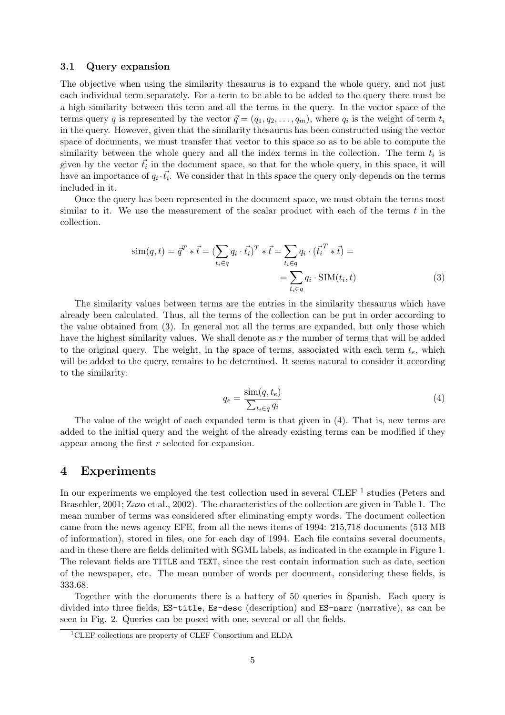#### 3.1 Query expansion

The objective when using the similarity thesaurus is to expand the whole query, and not just each individual term separately. For a term to be able to be added to the query there must be a high similarity between this term and all the terms in the query. In the vector space of the terms query q is represented by the vector  $\vec{q} = (q_1, q_2, \ldots, q_m)$ , where  $q_i$  is the weight of term  $t_i$ in the query. However, given that the similarity thesaurus has been constructed using the vector space of documents, we must transfer that vector to this space so as to be able to compute the similarity between the whole query and all the index terms in the collection. The term  $t_i$  is given by the vector  $\vec{t}_i$  in the document space, so that for the whole query, in this space, it will have an importance of  $q_i \cdot \vec{t_i}$ . We consider that in this space the query only depends on the terms included in it.

Once the query has been represented in the document space, we must obtain the terms most similar to it. We use the measurement of the scalar product with each of the terms  $t$  in the collection.

$$
\text{sim}(q, t) = \overline{q}^T * \overrightarrow{t} = \left(\sum_{t_i \in q} q_i \cdot \overrightarrow{t_i}\right)^T * \overrightarrow{t} = \sum_{t_i \in q} q_i \cdot \left(\overrightarrow{t_i}^T * \overrightarrow{t}\right) = \sum_{t_i \in q} q_i \cdot \text{SIM}(t_i, t)
$$
\n
$$
(3)
$$

The similarity values between terms are the entries in the similarity thesaurus which have already been calculated. Thus, all the terms of the collection can be put in order according to the value obtained from (3). In general not all the terms are expanded, but only those which have the highest similarity values. We shall denote as  $r$  the number of terms that will be added to the original query. The weight, in the space of terms, associated with each term  $t<sub>e</sub>$ , which will be added to the query, remains to be determined. It seems natural to consider it according to the similarity:

$$
q_e = \frac{\sin(q, t_e)}{\sum_{t_i \in q} q_i} \tag{4}
$$

The value of the weight of each expanded term is that given in (4). That is, new terms are added to the initial query and the weight of the already existing terms can be modified if they appear among the first r selected for expansion.

### 4 Experiments

In our experiments we employed the test collection used in several CLEF  $<sup>1</sup>$  studies (Peters and</sup> Braschler, 2001; Zazo et al., 2002). The characteristics of the collection are given in Table 1. The mean number of terms was considered after eliminating empty words. The document collection came from the news agency EFE, from all the news items of 1994: 215,718 documents (513 MB of information), stored in files, one for each day of 1994. Each file contains several documents, and in these there are fields delimited with SGML labels, as indicated in the example in Figure 1. The relevant fields are TITLE and TEXT, since the rest contain information such as date, section of the newspaper, etc. The mean number of words per document, considering these fields, is 333.68.

Together with the documents there is a battery of 50 queries in Spanish. Each query is divided into three fields, ES-title, Es-desc (description) and ES-narr (narrative), as can be seen in Fig. 2. Queries can be posed with one, several or all the fields.

<sup>1</sup>CLEF collections are property of CLEF Consortium and ELDA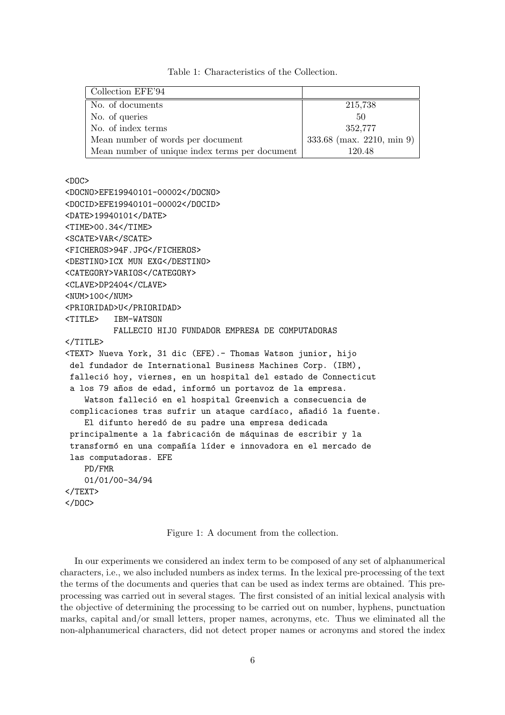Collection EFE'94 No. of documents 215,738 No. of queries 50 No. of index terms 352,777 Mean number of words per document  $333.68$  (max. 2210, min 9) Mean number of unique index terms per document 120.48

Table 1: Characteristics of the Collection.

<DOC>

```
<DOCNO>EFE19940101-00002</DOCNO>
<DOCID>EFE19940101-00002</DOCID>
<DATE>19940101</DATE>
<TIME>00.34</TIME>
<SCATE>VAR</SCATE>
<FICHEROS>94F.JPG</FICHEROS>
<DESTINO>ICX MUN EXG</DESTINO>
<CATEGORY>VARIOS</CATEGORY>
<CLAVE>DP2404</CLAVE>
<NUM>100</NUM>
<PRIORIDAD>U</PRIORIDAD>
<TITLE> IBM-WATSON
         FALLECIO HIJO FUNDADOR EMPRESA DE COMPUTADORAS
</TITLE>
<TEXT> Nueva York, 31 dic (EFE).- Thomas Watson junior, hijo
del fundador de International Business Machines Corp. (IBM),
falleció hoy, viernes, en un hospital del estado de Connecticut
a los 79 años de edad, informó un portavoz de la empresa.
   Watson falleció en el hospital Greenwich a consecuencia de
complicaciones tras sufrir un ataque cardíaco, añadió la fuente.
   El difunto heredó de su padre una empresa dedicada
principalmente a la fabricación de máquinas de escribir y la
transformó en una compañía líder e innovadora en el mercado de
las computadoras. EFE
   PD/FMR
   01/01/00-34/94
</TEXT>
</DOC>
```
Figure 1: A document from the collection.

In our experiments we considered an index term to be composed of any set of alphanumerical characters, i.e., we also included numbers as index terms. In the lexical pre-processing of the text the terms of the documents and queries that can be used as index terms are obtained. This preprocessing was carried out in several stages. The first consisted of an initial lexical analysis with the objective of determining the processing to be carried out on number, hyphens, punctuation marks, capital and/or small letters, proper names, acronyms, etc. Thus we eliminated all the non-alphanumerical characters, did not detect proper names or acronyms and stored the index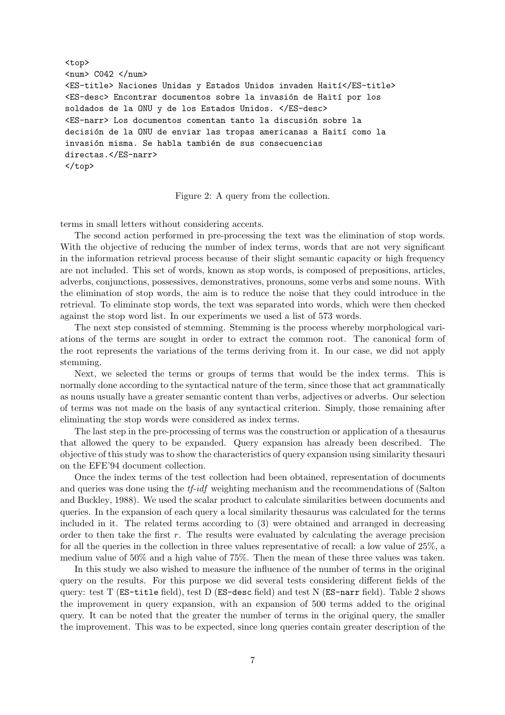```
<top>
\langlenum> C042 \langle/num>
<ES-title> Naciones Unidas y Estados Unidos invaden Haití</ES-title>
<ES-desc> Encontrar documentos sobre la invasi´on de Hait´ı por los
soldados de la ONU y de los Estados Unidos. </ES-desc>
<ES-narr> Los documentos comentan tanto la discusión sobre la
decisión de la ONU de enviar las tropas americanas a Haití como la
invasión misma. Se habla también de sus consecuencias
directas.</ES-narr>
</top>
```
Figure 2: A query from the collection.

terms in small letters without considering accents.

The second action performed in pre-processing the text was the elimination of stop words. With the objective of reducing the number of index terms, words that are not very significant in the information retrieval process because of their slight semantic capacity or high frequency are not included. This set of words, known as stop words, is composed of prepositions, articles, adverbs, conjunctions, possessives, demonstratives, pronouns, some verbs and some nouns. With the elimination of stop words, the aim is to reduce the noise that they could introduce in the retrieval. To eliminate stop words, the text was separated into words, which were then checked against the stop word list. In our experiments we used a list of 573 words.

The next step consisted of stemming. Stemming is the process whereby morphological variations of the terms are sought in order to extract the common root. The canonical form of the root represents the variations of the terms deriving from it. In our case, we did not apply stemming.

Next, we selected the terms or groups of terms that would be the index terms. This is normally done according to the syntactical nature of the term, since those that act grammatically as nouns usually have a greater semantic content than verbs, adjectives or adverbs. Our selection of terms was not made on the basis of any syntactical criterion. Simply, those remaining after eliminating the stop words were considered as index terms.

The last step in the pre-processing of terms was the construction or application of a thesaurus that allowed the query to be expanded. Query expansion has already been described. The objective of this study was to show the characteristics of query expansion using similarity thesauri on the EFE'94 document collection.

Once the index terms of the test collection had been obtained, representation of documents and queries was done using the tf-idf weighting mechanism and the recommendations of (Salton and Buckley, 1988). We used the scalar product to calculate similarities between documents and queries. In the expansion of each query a local similarity thesaurus was calculated for the terms included in it. The related terms according to (3) were obtained and arranged in decreasing order to then take the first  $r$ . The results were evaluated by calculating the average precision for all the queries in the collection in three values representative of recall: a low value of 25%, a medium value of 50% and a high value of 75%. Then the mean of these three values was taken.

In this study we also wished to measure the influence of the number of terms in the original query on the results. For this purpose we did several tests considering different fields of the query: test T (ES-title field), test D (ES-desc field) and test N (ES-narr field). Table 2 shows the improvement in query expansion, with an expansion of 500 terms added to the original query. It can be noted that the greater the number of terms in the original query, the smaller the improvement. This was to be expected, since long queries contain greater description of the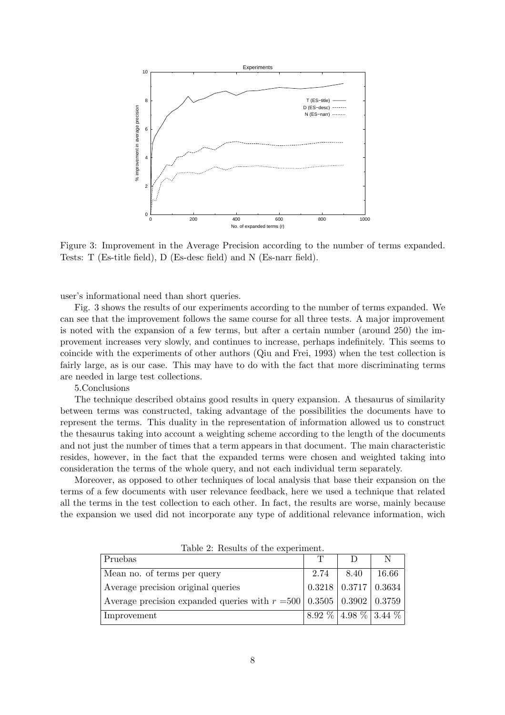

Figure 3: Improvement in the Average Precision according to the number of terms expanded. Tests: T (Es-title field), D (Es-desc field) and N (Es-narr field).

user's informational need than short queries.

Fig. 3 shows the results of our experiments according to the number of terms expanded. We can see that the improvement follows the same course for all three tests. A major improvement is noted with the expansion of a few terms, but after a certain number (around 250) the improvement increases very slowly, and continues to increase, perhaps indefinitely. This seems to coincide with the experiments of other authors (Qiu and Frei, 1993) when the test collection is fairly large, as is our case. This may have to do with the fact that more discriminating terms are needed in large test collections.

#### 5.Conclusions

The technique described obtains good results in query expansion. A thesaurus of similarity between terms was constructed, taking advantage of the possibilities the documents have to represent the terms. This duality in the representation of information allowed us to construct the thesaurus taking into account a weighting scheme according to the length of the documents and not just the number of times that a term appears in that document. The main characteristic resides, however, in the fact that the expanded terms were chosen and weighted taking into consideration the terms of the whole query, and not each individual term separately.

Moreover, as opposed to other techniques of local analysis that base their expansion on the terms of a few documents with user relevance feedback, here we used a technique that related all the terms in the test collection to each other. In fact, the results are worse, mainly because the expansion we used did not incorporate any type of additional relevance information, wich

| Pruebas                                                                      |      |                                     | N     |
|------------------------------------------------------------------------------|------|-------------------------------------|-------|
| Mean no. of terms per query                                                  | 2.74 | 8.40                                | 16.66 |
| Average precision original queries                                           |      | $0.3218 \mid 0.3717 \mid 0.3634$    |       |
| Average precision expanded queries with $r = 500   0.3505   0.3902   0.3759$ |      |                                     |       |
| Improvement                                                                  |      | $8.92\%$ 4.98 \times 13.44 \times 1 |       |

Table 2: Results of the experiment.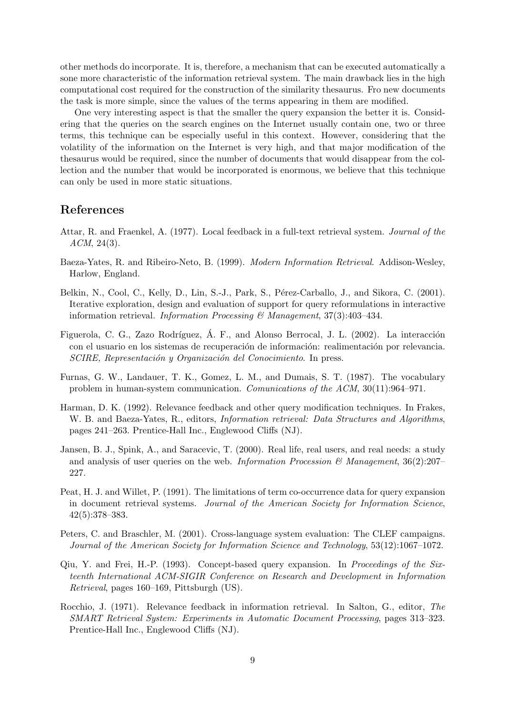other methods do incorporate. It is, therefore, a mechanism that can be executed automatically a sone more characteristic of the information retrieval system. The main drawback lies in the high computational cost required for the construction of the similarity thesaurus. Fro new documents the task is more simple, since the values of the terms appearing in them are modified.

One very interesting aspect is that the smaller the query expansion the better it is. Considering that the queries on the search engines on the Internet usually contain one, two or three terms, this technique can be especially useful in this context. However, considering that the volatility of the information on the Internet is very high, and that major modification of the thesaurus would be required, since the number of documents that would disappear from the collection and the number that would be incorporated is enormous, we believe that this technique can only be used in more static situations.

### References

- Attar, R. and Fraenkel, A. (1977). Local feedback in a full-text retrieval system. Journal of the  $ACM$ , 24(3).
- Baeza-Yates, R. and Ribeiro-Neto, B. (1999). Modern Information Retrieval. Addison-Wesley, Harlow, England.
- Belkin, N., Cool, C., Kelly, D., Lin, S.-J., Park, S., Pérez-Carballo, J., and Sikora, C. (2001). Iterative exploration, design and evaluation of support for query reformulations in interactive information retrieval. Information Processing  $\mathcal C$  Management, 37(3):403-434.
- Figuerola, C. G., Zazo Rodríguez, Á. F., and Alonso Berrocal, J. L. (2002). La interacción con el usuario en los sistemas de recuperación de información: realimentación por relevancia. SCIRE, Representación y Organización del Conocimiento. In press.
- Furnas, G. W., Landauer, T. K., Gomez, L. M., and Dumais, S. T. (1987). The vocabulary problem in human-system communication. Comunications of the ACM, 30(11):964–971.
- Harman, D. K. (1992). Relevance feedback and other query modification techniques. In Frakes, W. B. and Baeza-Yates, R., editors, *Information retrieval: Data Structures and Algorithms*, pages 241–263. Prentice-Hall Inc., Englewood Cliffs (NJ).
- Jansen, B. J., Spink, A., and Saracevic, T. (2000). Real life, real users, and real needs: a study and analysis of user queries on the web. Information Procession  $\mathcal{B}$  Management, 36(2):207– 227.
- Peat, H. J. and Willet, P. (1991). The limitations of term co-occurrence data for query expansion in document retrieval systems. Journal of the American Society for Information Science, 42(5):378–383.
- Peters, C. and Braschler, M. (2001). Cross-language system evaluation: The CLEF campaigns. Journal of the American Society for Information Science and Technology, 53(12):1067–1072.
- Qiu, Y. and Frei, H.-P. (1993). Concept-based query expansion. In Proceedings of the Sixteenth International ACM-SIGIR Conference on Research and Development in Information Retrieval, pages 160–169, Pittsburgh (US).
- Rocchio, J. (1971). Relevance feedback in information retrieval. In Salton, G., editor, The SMART Retrieval System: Experiments in Automatic Document Processing, pages 313–323. Prentice-Hall Inc., Englewood Cliffs (NJ).